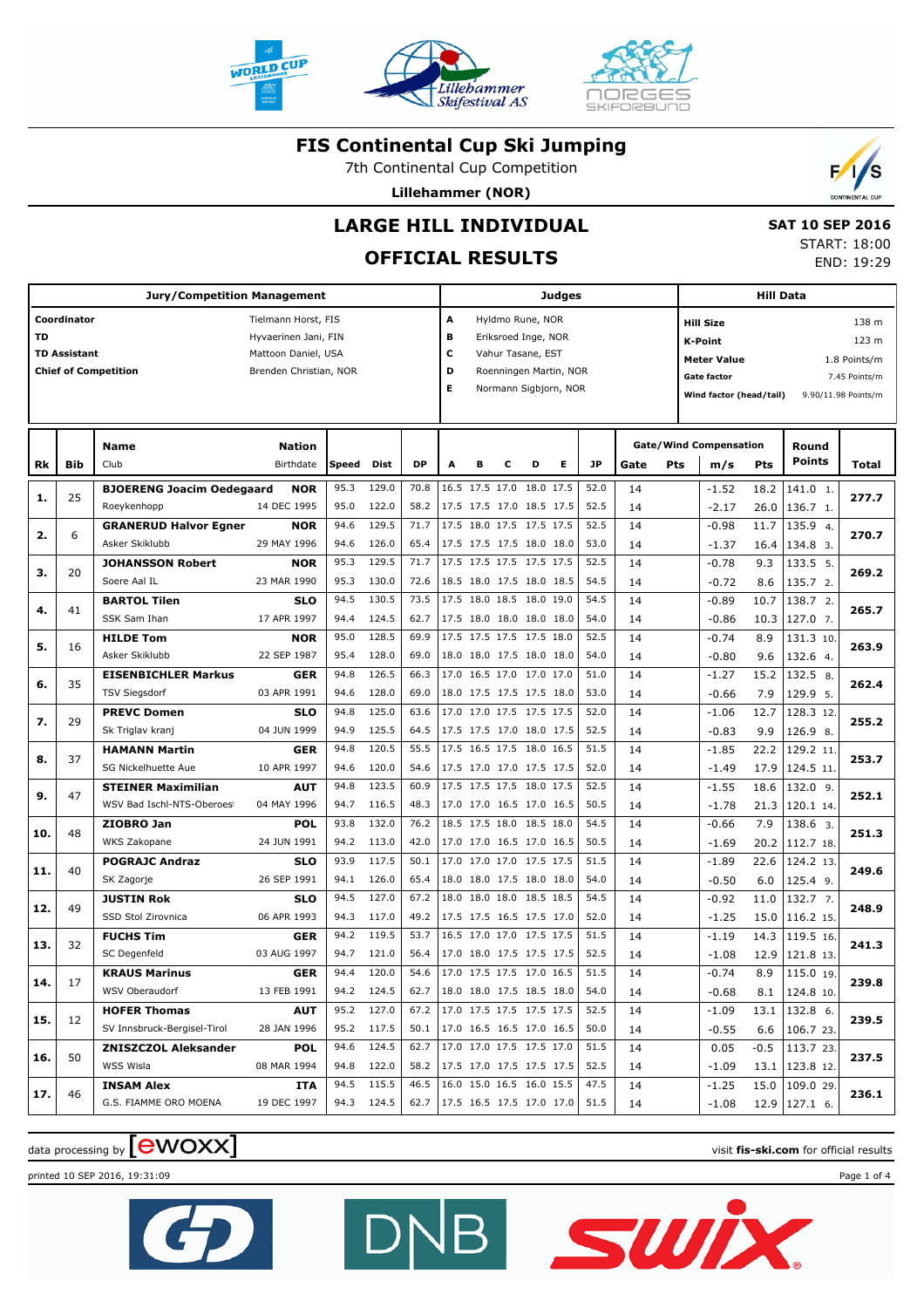



Lillehammer

Skifestival AS

7th Continental Cup Competition

**Lillehammer (NOR)**



# **LARGE HILL INDIVIDUAL**

### **OFFICIAL RESULTS**

 **SAT 10 SEP 2016** START: 18:00 END: 19:29

|     |                     | <b>Jury/Competition Management</b> |                            |       |            |                               |                                          |   | <b>Judges</b> |                          |                        |      |      | Hill Data |                                      |       |                    |                     |  |
|-----|---------------------|------------------------------------|----------------------------|-------|------------|-------------------------------|------------------------------------------|---|---------------|--------------------------|------------------------|------|------|-----------|--------------------------------------|-------|--------------------|---------------------|--|
|     | Coordinator         |                                    | Tielmann Horst, FIS        |       |            |                               | A                                        |   |               | Hyldmo Rune, NOR         |                        |      |      |           | 138 m<br><b>Hill Size</b>            |       |                    |                     |  |
| TD  |                     |                                    | Hyvaerinen Jani, FIN       |       |            |                               | в                                        |   |               | Eriksroed Inge, NOR      |                        |      |      |           | <b>K-Point</b>                       |       |                    | 123 m               |  |
|     | <b>TD Assistant</b> |                                    | Mattoon Daniel, USA        |       |            |                               | с                                        |   |               | Vahur Tasane, EST        |                        |      |      |           | <b>Meter Value</b>                   |       |                    | 1.8 Points/m        |  |
|     |                     | <b>Chief of Competition</b>        | Brenden Christian, NOR     |       |            |                               | D                                        |   |               |                          | Roenningen Martin, NOR |      |      |           | <b>Gate factor</b>                   |       |                    | 7.45 Points/m       |  |
|     |                     |                                    |                            |       |            |                               | Е                                        |   |               |                          | Normann Sigbjorn, NOR  |      |      |           | Wind factor (head/tail)              |       |                    | 9.90/11.98 Points/m |  |
|     |                     |                                    |                            |       |            |                               |                                          |   |               |                          |                        |      |      |           |                                      |       |                    |                     |  |
|     |                     |                                    |                            |       |            |                               |                                          |   |               |                          |                        |      |      |           |                                      |       |                    |                     |  |
| Rk  | Bib                 | <b>Name</b><br>Club                | <b>Nation</b><br>Birthdate | Speed | Dist       | <b>DP</b>                     | A                                        | в | c             | D                        | Е                      | JP   | Gate | Pts       | <b>Gate/Wind Compensation</b><br>m/s | Pts   | Round<br>Points    | Total               |  |
|     |                     |                                    |                            |       |            |                               |                                          |   |               | 16.5 17.5 17.0 18.0 17.5 |                        |      |      |           |                                      |       |                    |                     |  |
| 1.  | 25                  | <b>BJOERENG Joacim Oedegaard</b>   | NOR                        | 95.3  | 129.0      | 70.8                          |                                          |   |               |                          |                        | 52.0 | 14   |           | $-1.52$                              | 18.2  | 141.0 1.           | 277.7               |  |
|     |                     | Roeykenhopp                        | 14 DEC 1995                | 95.0  | 122.0      | 58.2                          |                                          |   |               | 17.5 17.5 17.0 18.5 17.5 |                        | 52.5 | 14   |           | $-2.17$                              | 26.0  | 136.7 1.           |                     |  |
| 2.  | 6                   | <b>GRANERUD Halvor Egner</b>       | <b>NOR</b>                 | 94.6  | 129.5      | 71.7                          |                                          |   |               | 17.5 18.0 17.5 17.5 17.5 |                        | 52.5 | 14   |           | $-0.98$                              | 11.7  | 135.9 4.           | 270.7               |  |
|     |                     | Asker Skiklubb                     | 29 MAY 1996                | 94.6  | 126.0      | 65.4                          |                                          |   |               | 17.5 17.5 17.5 18.0 18.0 |                        | 53.0 | 14   |           | $-1.37$                              | 16.4  | 134.8 3.           |                     |  |
| з.  | 20                  | <b>JOHANSSON Robert</b>            | NOR                        | 95.3  | 129.5      | 71.7                          |                                          |   |               | 17.5 17.5 17.5 17.5 17.5 |                        | 52.5 | 14   |           | $-0.78$                              | 9.3   | 133.5 5.           | 269.2               |  |
|     |                     | Soere Aal IL                       | 23 MAR 1990                | 95.3  | 130.0      | 72.6                          |                                          |   |               | 18.5 18.0 17.5 18.0 18.5 |                        | 54.5 | 14   |           | $-0.72$                              | 8.6   | 135.7 2.           |                     |  |
| 4.  | 41                  | <b>BARTOL Tilen</b>                | <b>SLO</b>                 | 94.5  | 130.5      | 73.5                          |                                          |   |               | 17.5 18.0 18.5 18.0 19.0 |                        | 54.5 | 14   |           | $-0.89$                              | 10.7  | 138.7 2.           | 265.7               |  |
|     |                     | SSK Sam Ihan                       | 17 APR 1997                | 94.4  | 124.5      | 62.7                          |                                          |   |               | 17.5 18.0 18.0 18.0 18.0 |                        | 54.0 | 14   |           | $-0.86$                              | 10.3  | 127.0 7.           |                     |  |
| 5.  | 16                  | <b>HILDE Tom</b>                   | <b>NOR</b>                 | 95.0  | 128.5      | 69.9                          |                                          |   |               | 17.5 17.5 17.5 17.5 18.0 |                        | 52.5 | 14   |           | $-0.74$                              | 8.9   | 131.3 10.          | 263.9               |  |
|     |                     | Asker Skiklubb                     | 22 SEP 1987                | 95.4  | 128.0      | 69.0                          |                                          |   |               | 18.0 18.0 17.5 18.0 18.0 |                        | 54.0 | 14   |           | $-0.80$                              | 9.6   | 132.6 4.           |                     |  |
| 6.  | 35                  | <b>EISENBICHLER Markus</b>         | <b>GER</b>                 | 94.8  | 126.5      | 66.3                          |                                          |   |               | 17.0 16.5 17.0 17.0 17.0 |                        | 51.0 | 14   |           | $-1.27$                              | 15.2  | 132.5 8.           | 262.4               |  |
|     |                     | <b>TSV Siegsdorf</b>               | 03 APR 1991                | 94.6  | 128.0      | 69.0                          |                                          |   |               | 18.0 17.5 17.5 17.5 18.0 |                        | 53.0 | 14   |           | $-0.66$                              | 7.9   | 129.9 5.           |                     |  |
| 7.  | 29                  | <b>PREVC Domen</b>                 | <b>SLO</b>                 | 94.8  | 125.0      | 63.6                          |                                          |   |               | 17.0 17.0 17.5 17.5 17.5 |                        | 52.0 | 14   |           | $-1.06$                              | 12.7  | 128.3 12.          | 255.2               |  |
|     |                     | Sk Triglav kranj                   | 04 JUN 1999                | 94.9  | 125.5      | 64.5                          |                                          |   |               | 17.5 17.5 17.0 18.0 17.5 |                        | 52.5 | 14   |           | $-0.83$                              | 9.9   | 126.9 8.           |                     |  |
| 8.  | 37                  | <b>HAMANN Martin</b>               | <b>GER</b>                 | 94.8  | 120.5      | 55.5                          |                                          |   |               | 17.5 16.5 17.5 18.0 16.5 |                        | 51.5 | 14   |           | $-1.85$                              | 22.2  | 129.2 11.          | 253.7               |  |
|     |                     | <b>SG Nickelhuette Aue</b>         | 10 APR 1997                | 94.6  | 120.0      | 54.6                          |                                          |   |               | 17.5 17.0 17.0 17.5 17.5 |                        | 52.0 | 14   |           | $-1.49$                              | 17.9  | 124.5 11.          |                     |  |
| 9.  | 47                  | <b>STEINER Maximilian</b>          | <b>AUT</b>                 | 94.8  | 123.5      | 60.9                          |                                          |   |               | 17.5 17.5 17.5 18.0 17.5 |                        | 52.5 | 14   |           | $-1.55$                              | 18.6  | 132.0 9.           | 252.1               |  |
|     |                     | WSV Bad Ischl-NTS-Oberoes          | 04 MAY 1996                | 94.7  | 116.5      | 48.3                          |                                          |   |               | 17.0 17.0 16.5 17.0 16.5 |                        | 50.5 | 14   |           | $-1.78$                              | 21.3  | 120.1 14.          |                     |  |
| 10. | 48                  | ZIOBRO Jan                         | <b>POL</b>                 | 93.8  | 132.0      | 76.2                          |                                          |   |               | 18.5 17.5 18.0 18.5 18.0 |                        | 54.5 | 14   |           | $-0.66$                              | 7.9   | 138.6 3.           | 251.3               |  |
|     |                     | WKS Zakopane                       | 24 JUN 1991                | 94.2  | 113.0      | 42.0                          |                                          |   |               | 17.0 17.0 16.5 17.0 16.5 |                        | 50.5 | 14   |           | $-1.69$                              | 20.2  | 112.7 18.          |                     |  |
| 11. | 40                  | <b>POGRAJC Andraz</b>              | <b>SLO</b>                 | 93.9  | 117.5      | 50.1                          |                                          |   |               | 17.0 17.0 17.0 17.5 17.5 |                        | 51.5 | 14   |           | $-1.89$                              | 22.6  | 124.2 13.          | 249.6               |  |
|     |                     | SK Zagorje                         | 26 SEP 1991                | 94.1  | 126.0      | 65.4                          |                                          |   |               | 18.0 18.0 17.5 18.0 18.0 |                        | 54.0 | 14   |           | $-0.50$                              | 6.0   | 125.4 9.           |                     |  |
|     | 49                  | <b>JUSTIN Rok</b>                  | <b>SLO</b>                 | 94.5  | 127.0      | 67.2                          |                                          |   |               | 18.0 18.0 18.0 18.5 18.5 |                        | 54.5 | 14   |           | $-0.92$                              | 11.0  | 132.7 7.           |                     |  |
| 12. |                     | SSD Stol Zirovnica                 | 06 APR 1993                | 94.3  | 117.0      | 49.2                          |                                          |   |               | 17.5 17.5 16.5 17.5 17.0 |                        | 52.0 | 14   |           | $-1.25$                              | 15.0  | 116.2 15.          | 248.9               |  |
|     |                     | <b>FUCHS Tim</b>                   | <b>GER</b>                 | 94.2  | 119.5      | 53.7                          |                                          |   |               | 16.5 17.0 17.0 17.5 17.5 |                        | 51.5 | 14   |           | $-1.19$                              | 14.3  | 119.5 16.          |                     |  |
| 13. | 32                  | SC Degenfeld                       | 03 AUG 1997                | 94.7  | 121.0      | 56.4                          |                                          |   |               | 17.0 18.0 17.5 17.5 17.5 |                        | 52.5 | 14   |           | $-1.08$                              | 12.9  | 121.8 13.          | 241.3               |  |
|     |                     | <b>KRAUS Marinus</b>               | <b>GER</b>                 | 94.4  | 120.0      | 54.6                          | 17.0 17.5 17.5 17.0 16.5                 |   |               |                          |                        | 51.5 | 14   |           | $-0.74$                              | 8.9   | 115.0 19.          |                     |  |
| 14. | 17                  | WSV Oberaudorf                     | 13 FEB 1991                |       | 94.2 124.5 | 62.7                          | 18.0 18.0 17.5 18.5 18.0                 |   |               |                          |                        | 54.0 | 14   |           | $-0.68$                              | 8.1   | 124.8 10.          | 239.8               |  |
|     |                     | <b>HOFER Thomas</b>                | <b>AUT</b>                 | 95.2  | 127.0      | 67.2 17.0 17.5 17.5 17.5 17.5 |                                          |   |               |                          |                        | 52.5 | 14   |           | $-1.09$                              |       | $13.1$   132.8 6.  |                     |  |
| 15. | 12                  | SV Innsbruck-Bergisel-Tirol        | 28 JAN 1996                |       | 95.2 117.5 | 50.1                          | $17.0$ 16.5 16.5 17.0 16.5               |   |               |                          |                        | 50.0 | 14   |           | $-0.55$                              | $6.6$ | 106.7 23.          | 239.5               |  |
|     |                     | <b>ZNISZCZOL Aleksander</b>        | <b>POL</b>                 | 94.6  | 124.5      | 62.7                          | 17.0 17.0 17.5 17.5 17.0                 |   |               |                          |                        | 51.5 | 14   |           | 0.05                                 |       | $-0.5$   113.7 23. |                     |  |
| 16. | 50                  | WSS Wisla                          | 08 MAR 1994                | 94.8  | 122.0      | 58.2                          |                                          |   |               | 17.5 17.0 17.5 17.5 17.5 |                        | 52.5 | 14   |           | $-1.09$                              |       | 13.1   123.8 12.   | 237.5               |  |
|     |                     | <b>INSAM Alex</b>                  | ITA                        | 94.5  | 115.5      | 46.5                          |                                          |   |               | 16.0 15.0 16.5 16.0 15.5 |                        | 47.5 | 14   |           | $-1.25$                              |       | 15.0 109.0 29.     |                     |  |
| 17. | 46                  | G.S. FIAMME ORO MOENA              | 19 DEC 1997                |       | 94.3 124.5 | 62.7                          | $\vert$ 17.5 16.5 17.5 17.0 17.0 $\vert$ |   |               |                          |                        | 51.5 | 14   |           | $-1.08$                              |       | $12.9$   127.1 6.  | 236.1               |  |
|     |                     |                                    |                            |       |            |                               |                                          |   |               |                          |                        |      |      |           |                                      |       |                    |                     |  |

DN

 $\overline{B}$ 

# data processing by **CWOXX** and  $\overline{C}$  and  $\overline{C}$  and  $\overline{C}$  and  $\overline{C}$  and  $\overline{C}$  and  $\overline{C}$  and  $\overline{C}$  and  $\overline{C}$  and  $\overline{C}$  and  $\overline{C}$  and  $\overline{C}$  and  $\overline{C}$  and  $\overline{C}$  and  $\overline{C}$  and  $\overline{C}$

printed 10 SEP 2016, 19:31:09 Page 1 of 4



SWİX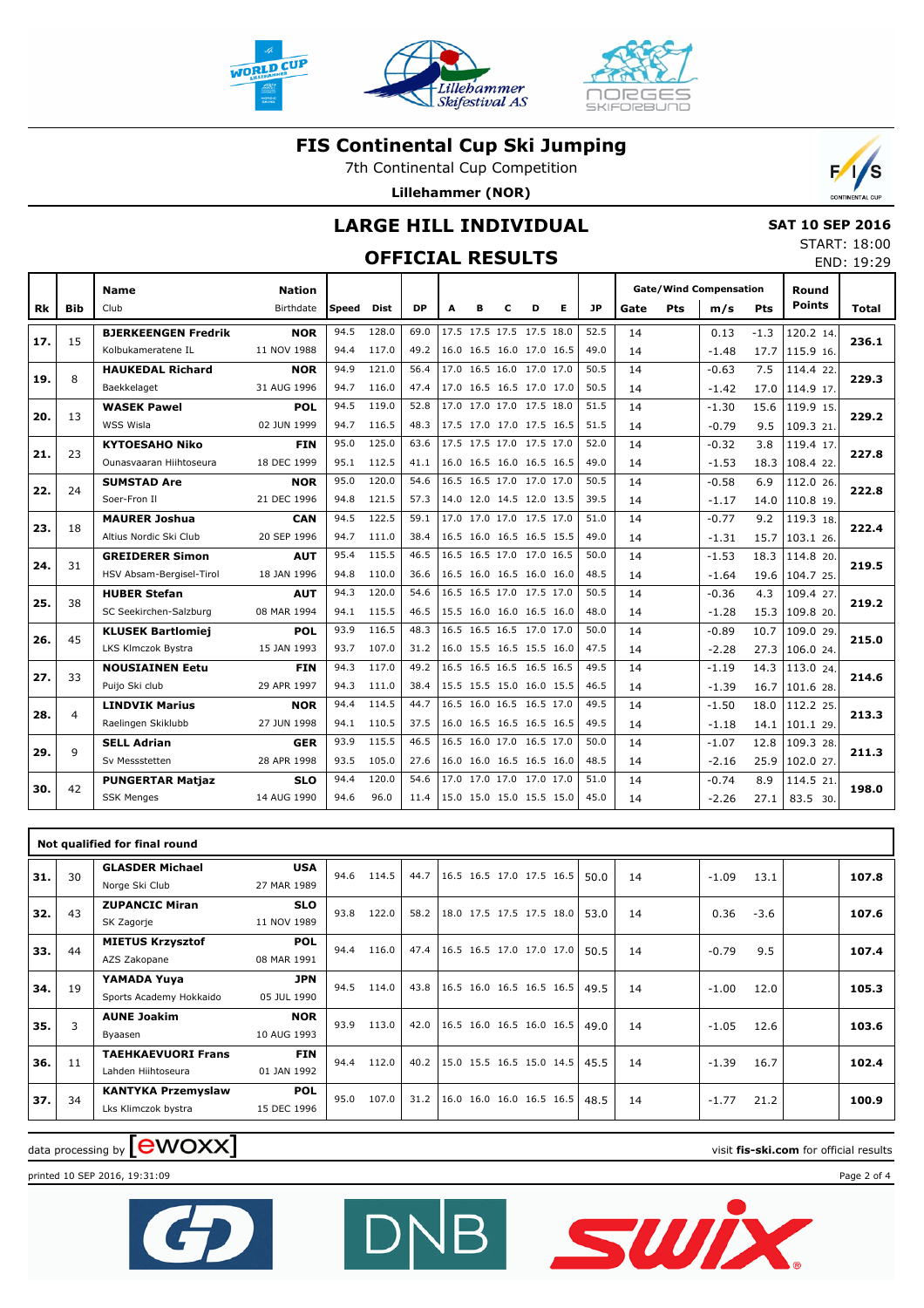





7th Continental Cup Competition

**Lillehammer (NOR)**



### **LARGE HILL INDIVIDUAL**

## **OFFICIAL RESULTS**

| <b>SAT 10 SEP 2016</b> |                   |  |
|------------------------|-------------------|--|
|                        | START: 18:00      |  |
|                        | $FND \cdot 10.20$ |  |

|     |            |                            |                            |       |             |           |                          |   |   |                          |   |           |      |     |                                      |        |                        | END: 19:29 |
|-----|------------|----------------------------|----------------------------|-------|-------------|-----------|--------------------------|---|---|--------------------------|---|-----------|------|-----|--------------------------------------|--------|------------------------|------------|
| Rk  | <b>Bib</b> | <b>Name</b><br>Club        | <b>Nation</b><br>Birthdate | Speed | <b>Dist</b> | <b>DP</b> | A                        | в | c | D                        | Е | <b>JP</b> | Gate | Pts | <b>Gate/Wind Compensation</b><br>m/s | Pts    | Round<br><b>Points</b> | Total      |
| 17. | 15         | <b>BJERKEENGEN Fredrik</b> | <b>NOR</b>                 | 94.5  | 128.0       | 69.0      | 17.5 17.5 17.5 17.5 18.0 |   |   |                          |   | 52.5      | 14   |     | 0.13                                 | $-1.3$ | 120.2 14.              | 236.1      |
|     |            | Kolbukameratene IL         | 11 NOV 1988                | 94.4  | 117.0       | 49.2      | 16.0 16.5 16.0 17.0 16.5 |   |   |                          |   | 49.0      | 14   |     | $-1.48$                              | 17.7   | 115.9 16.              |            |
| 19. | 8          | <b>HAUKEDAL Richard</b>    | <b>NOR</b>                 | 94.9  | 121.0       | 56.4      | 17.0 16.5 16.0 17.0 17.0 |   |   |                          |   | 50.5      | 14   |     | $-0.63$                              | 7.5    | 114.4 22.              | 229.3      |
|     |            | Baekkelaget                | 31 AUG 1996                | 94.7  | 116.0       | 47.4      |                          |   |   | 17.0 16.5 16.5 17.0 17.0 |   | 50.5      | 14   |     | $-1.42$                              | 17.0   | 114.9 17.              |            |
| 20. | 13         | <b>WASEK Pawel</b>         | <b>POL</b>                 | 94.5  | 119.0       | 52.8      | 17.0 17.0 17.0 17.5 18.0 |   |   |                          |   | 51.5      | 14   |     | $-1.30$                              | 15.6   | 119.9 15.              | 229.2      |
|     |            | WSS Wisla                  | 02 JUN 1999                | 94.7  | 116.5       | 48.3      |                          |   |   | 17.5 17.0 17.0 17.5 16.5 |   | 51.5      | 14   |     | $-0.79$                              | 9.5    | 109.3 21               |            |
| 21. | 23         | <b>KYTOESAHO Niko</b>      | <b>FIN</b>                 | 95.0  | 125.0       | 63.6      | 17.5 17.5 17.0 17.5 17.0 |   |   |                          |   | 52.0      | 14   |     | $-0.32$                              | 3.8    | 119.4 17.              | 227.8      |
|     |            | Ounasyaaran Hiihtoseura    | 18 DEC 1999                | 95.1  | 112.5       | 41.1      | 16.0 16.5 16.0 16.5 16.5 |   |   |                          |   | 49.0      | 14   |     | $-1.53$                              | 18.3   | 108.4 22.              |            |
| 22. | 24         | <b>SUMSTAD Are</b>         | <b>NOR</b>                 | 95.0  | 120.0       | 54.6      | 16.5 16.5 17.0 17.0 17.0 |   |   |                          |   | 50.5      | 14   |     | $-0.58$                              | 6.9    | 112.0 26.              | 222.8      |
|     |            | Soer-Fron II               | 21 DEC 1996                | 94.8  | 121.5       | 57.3      | 14.0 12.0 14.5 12.0 13.5 |   |   |                          |   | 39.5      | 14   |     | $-1.17$                              |        | 14.0 110.8 19.         |            |
| 23. | 18         | <b>MAURER Joshua</b>       | <b>CAN</b>                 | 94.5  | 122.5       | 59.1      | 17.0 17.0 17.0 17.5 17.0 |   |   |                          |   | 51.0      | 14   |     | $-0.77$                              | 9.2    | 119.3 18.              | 222.4      |
|     |            | Altius Nordic Ski Club     | 20 SEP 1996                | 94.7  | 111.0       | 38.4      | 16.5 16.0 16.5 16.5 15.5 |   |   |                          |   | 49.0      | 14   |     | $-1.31$                              | 15.7   | 103.1 26.              |            |
| 24. | 31         | <b>GREIDERER Simon</b>     | AUT                        | 95.4  | 115.5       | 46.5      | 16.5 16.5 17.0 17.0 16.5 |   |   |                          |   | 50.0      | 14   |     | $-1.53$                              | 18.3   | 114.8 20.              | 219.5      |
|     |            | HSV Absam-Bergisel-Tirol   | 18 JAN 1996                | 94.8  | 110.0       | 36.6      |                          |   |   | 16.5 16.0 16.5 16.0 16.0 |   | 48.5      | 14   |     | $-1.64$                              |        | 19.6 104.7 25.         |            |
| 25. | 38         | <b>HUBER Stefan</b>        | AUT                        | 94.3  | 120.0       | 54.6      |                          |   |   | 16.5 16.5 17.0 17.5 17.0 |   | 50.5      | 14   |     | $-0.36$                              | 4.3    | 109.4 27.              | 219.2      |
|     |            | SC Seekirchen-Salzburg     | 08 MAR 1994                | 94.1  | 115.5       | 46.5      |                          |   |   | 15.5 16.0 16.0 16.5 16.0 |   | 48.0      | 14   |     | $-1.28$                              | 15.3   | 109.8 20.              |            |
| 26. | 45         | <b>KLUSEK Bartlomiej</b>   | <b>POL</b>                 | 93.9  | 116.5       | 48.3      | 16.5 16.5 16.5 17.0 17.0 |   |   |                          |   | 50.0      | 14   |     | $-0.89$                              | 10.7   | 109.0 29.              | 215.0      |
|     |            | LKS Klmczok Bystra         | 15 JAN 1993                | 93.7  | 107.0       | 31.2      | 16.0 15.5 16.5 15.5 16.0 |   |   |                          |   | 47.5      | 14   |     | $-2.28$                              | 27.3   | 106.0 24.              |            |
| 27. | 33         | <b>NOUSIAINEN Eetu</b>     | <b>FIN</b>                 | 94.3  | 117.0       | 49.2      | 16.5 16.5 16.5 16.5 16.5 |   |   |                          |   | 49.5      | 14   |     | $-1.19$                              | 14.3   | 113.0 24.              | 214.6      |
|     |            | Puijo Ski club             | 29 APR 1997                | 94.3  | 111.0       | 38.4      | 15.5 15.5 15.0 16.0 15.5 |   |   |                          |   | 46.5      | 14   |     | $-1.39$                              | 16.7   | 101.6 28.              |            |
| 28. | 4          | <b>LINDVIK Marius</b>      | <b>NOR</b>                 | 94.4  | 114.5       | 44.7      | 16.5 16.0 16.5 16.5 17.0 |   |   |                          |   | 49.5      | 14   |     | $-1.50$                              | 18.0   | 112.2 25.              | 213.3      |
|     |            | Raelingen Skiklubb         | 27 JUN 1998                | 94.1  | 110.5       | 37.5      | 16.0 16.5 16.5 16.5 16.5 |   |   |                          |   | 49.5      | 14   |     | $-1.18$                              |        | $14.1$ 101.1 29.       |            |
| 29. | 9          | <b>SELL Adrian</b>         | GER                        | 93.9  | 115.5       | 46.5      | 16.5 16.0 17.0 16.5 17.0 |   |   |                          |   | 50.0      | 14   |     | $-1.07$                              | 12.8   | 109.3 28.              | 211.3      |
|     |            | Sv Messstetten             | 28 APR 1998                | 93.5  | 105.0       | 27.6      |                          |   |   | 16.0 16.0 16.5 16.5 16.0 |   | 48.5      | 14   |     | $-2.16$                              | 25.9   | 102.0 27.              |            |
| 30. | 42         | <b>PUNGERTAR Matjaz</b>    | <b>SLO</b>                 | 94.4  | 120.0       | 54.6      | 17.0 17.0 17.0 17.0 17.0 |   |   |                          |   | 51.0      | 14   |     | $-0.74$                              | 8.9    | 114.5 21               | 198.0      |
|     |            | <b>SSK Menges</b>          | 14 AUG 1990                | 94.6  | 96.0        | 11.4      | 15.0 15.0 15.0 15.5 15.0 |   |   |                          |   | 45.0      | 14   |     | $-2.26$                              | 27.1   | 83.5 30.               |            |
|     |            |                            |                            |       |             |           |                          |   |   |                          |   |           |      |     |                                      |        |                        |            |

|     |    | Not qualified for final round                    |                           |      |       |      |                            |  |      |    |         |        |       |
|-----|----|--------------------------------------------------|---------------------------|------|-------|------|----------------------------|--|------|----|---------|--------|-------|
| 31. | 30 | <b>GLASDER Michael</b><br>Norge Ski Club         | <b>USA</b><br>27 MAR 1989 | 94.6 | 114.5 | 44.7 | 16.5 16.5 17.0 17.5 16.5   |  | 50.0 | 14 | $-1.09$ | 13.1   | 107.8 |
| 32. | 43 | <b>ZUPANCIC Miran</b><br>SK Zagorje              | <b>SLO</b><br>11 NOV 1989 | 93.8 | 122.0 | 58.2 | 18.0 17.5 17.5 17.5 18.0   |  | 53.0 | 14 | 0.36    | $-3.6$ | 107.6 |
| 33. | 44 | <b>MIETUS Krzysztof</b><br>AZS Zakopane          | <b>POL</b><br>08 MAR 1991 | 94.4 | 116.0 | 47.4 | 16.5 16.5 17.0 17.0 17.0   |  | 50.5 | 14 | $-0.79$ | 9.5    | 107.4 |
| 34. | 19 | YAMADA Yuya<br>Sports Academy Hokkaido           | <b>JPN</b><br>05 JUL 1990 | 94.5 | 114.0 | 43.8 | 16.5 16.0 16.5 16.5 16.5   |  | 49.5 | 14 | $-1.00$ | 12.0   | 105.3 |
| 35. | 3  | <b>AUNE Joakim</b><br>Byaasen                    | <b>NOR</b><br>10 AUG 1993 | 93.9 | 113.0 | 42.0 | $16.5$ 16.0 16.5 16.0 16.5 |  | 49.0 | 14 | $-1.05$ | 12.6   | 103.6 |
| 36. | 11 | <b>TAEHKAEVUORI Frans</b><br>Lahden Hiihtoseura  | <b>FIN</b><br>01 JAN 1992 | 94.4 | 112.0 | 40.2 | 15.0 15.5 16.5 15.0 14.5   |  | 45.5 | 14 | $-1.39$ | 16.7   | 102.4 |
| 37. | 34 | <b>KANTYKA Przemyslaw</b><br>Lks Klimczok bystra | <b>POL</b><br>15 DEC 1996 | 95.0 | 107.0 | 31.2 | 16.0 16.0 16.0 16.5 16.5   |  | 48.5 | 14 | $-1.77$ | 21.2   | 100.9 |

DN

# $\alpha$  data processing by  $\boxed{\text{ewOX}}$

printed 10 SEP 2016, 19:31:09 Page 2 of 4



SWİX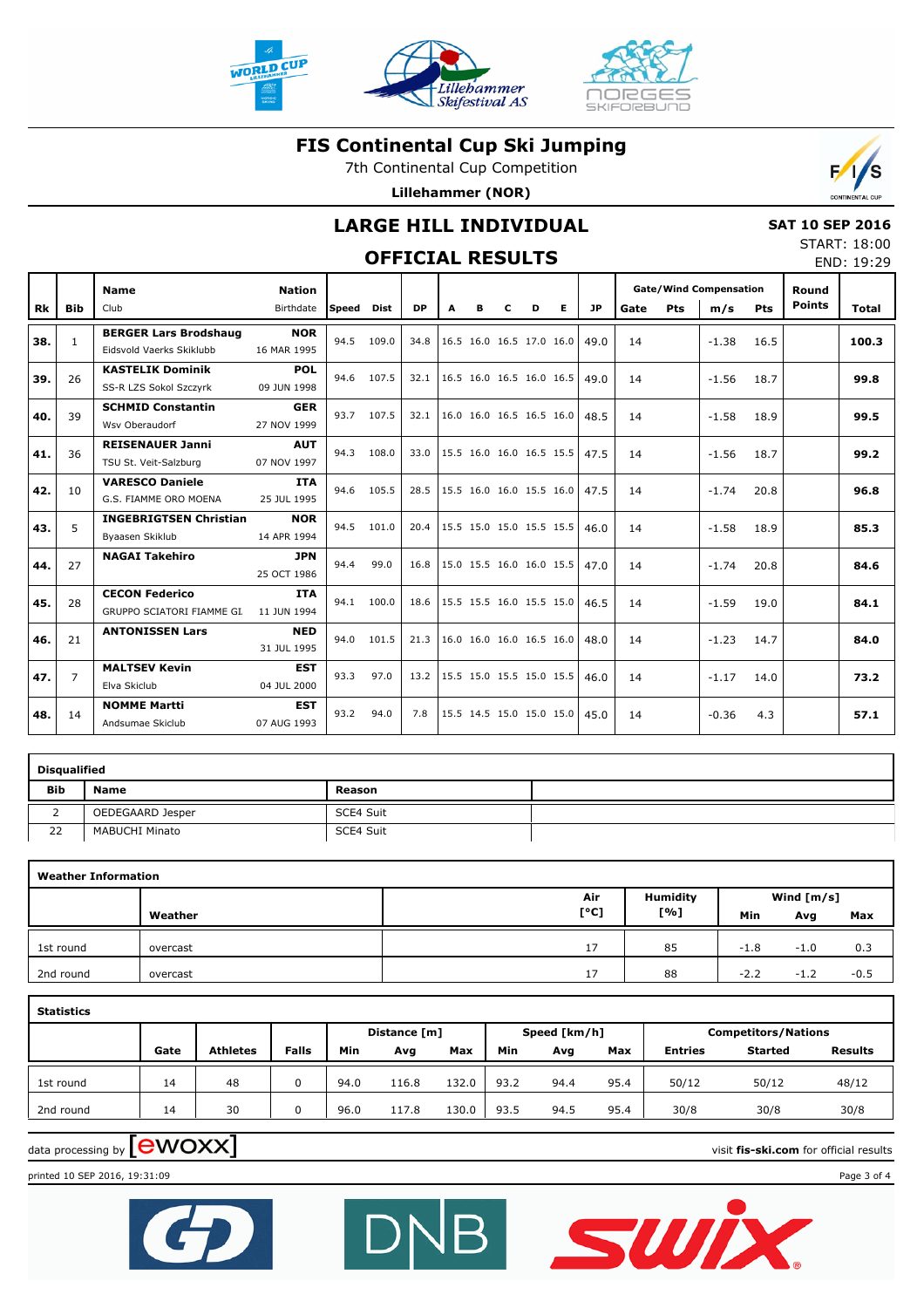



Lillehammer

Skifestival AS

7th Continental Cup Competition

**Lillehammer (NOR)**



 **SAT 10 SEP 2016** START: 18:00 END: 19:29

### **LARGE HILL INDIVIDUAL**

### **OFFICIAL RESULTS**

|           |                | <b>Name</b>                                              | <b>Nation</b>             |              |             |           |                          |   |   |                          |                          |           |      |            | <b>Gate/Wind Compensation</b> |            | Round         |       |
|-----------|----------------|----------------------------------------------------------|---------------------------|--------------|-------------|-----------|--------------------------|---|---|--------------------------|--------------------------|-----------|------|------------|-------------------------------|------------|---------------|-------|
| <b>Rk</b> | <b>Bib</b>     | Club                                                     | Birthdate                 | <b>Speed</b> | <b>Dist</b> | <b>DP</b> | A                        | в | C | D                        | E.                       | <b>JP</b> | Gate | <b>Pts</b> | m/s                           | <b>Pts</b> | <b>Points</b> | Total |
| 38.       | $\mathbf{1}$   | <b>BERGER Lars Brodshaug</b><br>Eidsvold Vaerks Skiklubb | <b>NOR</b><br>16 MAR 1995 | 94.5         | 109.0       | 34.8      |                          |   |   | 16.5 16.0 16.5 17.0 16.0 |                          | 49.0      | 14   |            | $-1.38$                       | 16.5       |               | 100.3 |
| 39.       | 26             | <b>KASTELIK Dominik</b><br>SS-R LZS Sokol Szczyrk        | POL<br>09 JUN 1998        | 94.6         | 107.5       | 32.1      |                          |   |   | 16.5 16.0 16.5 16.0 16.5 |                          | 49.0      | 14   |            | $-1.56$                       | 18.7       |               | 99.8  |
| 40.       | 39             | <b>SCHMID Constantin</b><br>Wsv Oberaudorf               | <b>GER</b><br>27 NOV 1999 | 93.7         | 107.5       | 32.1      |                          |   |   | 16.0 16.0 16.5 16.5 16.0 |                          | 48.5      | 14   |            | $-1.58$                       | 18.9       |               | 99.5  |
| 41.       | 36             | <b>REISENAUER Janni</b><br>TSU St. Veit-Salzburg         | <b>AUT</b><br>07 NOV 1997 | 94.3         | 108.0       | 33.0      |                          |   |   |                          | 15.5 16.0 16.0 16.5 15.5 | 47.5      | 14   |            | $-1.56$                       | 18.7       |               | 99.2  |
| 42.       | 10             | <b>VARESCO Daniele</b><br>G.S. FIAMME ORO MOENA          | <b>ITA</b><br>25 JUL 1995 | 94.6         | 105.5       | 28.5      | 15.5 16.0 16.0 15.5 16.0 |   |   |                          |                          | 47.5      | 14   |            | $-1.74$                       | 20.8       |               | 96.8  |
| 43.       | 5              | <b>INGEBRIGTSEN Christian</b><br>Byaasen Skiklub         | <b>NOR</b><br>14 APR 1994 | 94.5         | 101.0       | 20.4      |                          |   |   | 15.5 15.0 15.0 15.5 15.5 |                          | 46.0      | 14   |            | $-1.58$                       | 18.9       |               | 85.3  |
| 44.       | 27             | <b>NAGAI Takehiro</b>                                    | <b>JPN</b><br>25 OCT 1986 | 94.4         | 99.0        | 16.8      |                          |   |   | 15.0 15.5 16.0 16.0 15.5 |                          | 47.0      | 14   |            | $-1.74$                       | 20.8       |               | 84.6  |
| 45.       | 28             | <b>CECON Federico</b><br>GRUPPO SCIATORI FIAMME GI.      | <b>ITA</b><br>11 JUN 1994 | 94.1         | 100.0       | 18.6      |                          |   |   | 15.5 15.5 16.0 15.5 15.0 |                          | 46.5      | 14   |            | $-1.59$                       | 19.0       |               | 84.1  |
| 46.       | 21             | <b>ANTONISSEN Lars</b>                                   | <b>NED</b><br>31 JUL 1995 | 94.0         | 101.5       | 21.3      |                          |   |   | 16.0 16.0 16.0 16.5 16.0 |                          | 48.0      | 14   |            | $-1.23$                       | 14.7       |               | 84.0  |
| 47.       | $\overline{7}$ | <b>MALTSEV Kevin</b><br>Elva Skiclub                     | <b>EST</b><br>04 JUL 2000 | 93.3         | 97.0        | 13.2      |                          |   |   | 15.5 15.0 15.5 15.0 15.5 |                          | 46.0      | 14   |            | $-1.17$                       | 14.0       |               | 73.2  |
| 48.       | 14             | <b>NOMME Martti</b><br>Andsumae Skiclub                  | <b>EST</b><br>07 AUG 1993 | 93.2         | 94.0        | 7.8       |                          |   |   |                          | 15.5 14.5 15.0 15.0 15.0 | 45.0      | 14   |            | $-0.36$                       | 4.3        |               | 57.1  |

|            | <b>Disqualified</b>   |           |  |  |  |  |  |  |  |  |  |  |  |  |
|------------|-----------------------|-----------|--|--|--|--|--|--|--|--|--|--|--|--|
| <b>Bib</b> | <b>Name</b>           | Reason    |  |  |  |  |  |  |  |  |  |  |  |  |
|            | OEDEGAARD Jesper      | SCE4 Suit |  |  |  |  |  |  |  |  |  |  |  |  |
| 22         | <b>MABUCHI Minato</b> | SCE4 Suit |  |  |  |  |  |  |  |  |  |  |  |  |

|           | <b>Weather Information</b> |      |                 |        |              |        |  |  |  |  |  |  |  |  |  |
|-----------|----------------------------|------|-----------------|--------|--------------|--------|--|--|--|--|--|--|--|--|--|
|           |                            | Air  | <b>Humidity</b> |        | Wind $[m/s]$ |        |  |  |  |  |  |  |  |  |  |
|           | Weather                    | [°C] | [%]             | Min    | Avg          | Max    |  |  |  |  |  |  |  |  |  |
| 1st round | overcast                   | 17   | 85              | $-1.8$ | $-1.0$       | 0.3    |  |  |  |  |  |  |  |  |  |
| 2nd round | overcast                   | 17   | 88              | $-2.2$ | $-1.2$       | $-0.5$ |  |  |  |  |  |  |  |  |  |

| <b>Statistics</b> |      |                 |              |      |              |       |      |              |      |                            |                |                |  |  |  |
|-------------------|------|-----------------|--------------|------|--------------|-------|------|--------------|------|----------------------------|----------------|----------------|--|--|--|
|                   |      |                 |              |      | Distance [m] |       |      | Speed [km/h] |      | <b>Competitors/Nations</b> |                |                |  |  |  |
|                   | Gate | <b>Athletes</b> | <b>Falls</b> | Min  | Avg          | Max   | Min  | Avg          | Max  | <b>Entries</b>             | <b>Started</b> | <b>Results</b> |  |  |  |
| 1st round         | 14   | 48              | 0            | 94.0 | 116.8        | 132.0 | 93.2 | 94.4         | 95.4 | 50/12                      | 50/12          | 48/12          |  |  |  |
| 2nd round         | 14   | 30              |              | 96.0 | 117.8        | 130.0 | 93.5 | 94.5         | 95.4 | 30/8                       | 30/8           | 30/8           |  |  |  |

DN

# $\alpha$  data processing by  $\boxed{\text{ewOX}}$

SWIX

printed 10 SEP 2016, 19:31:09 Page 3 of 4